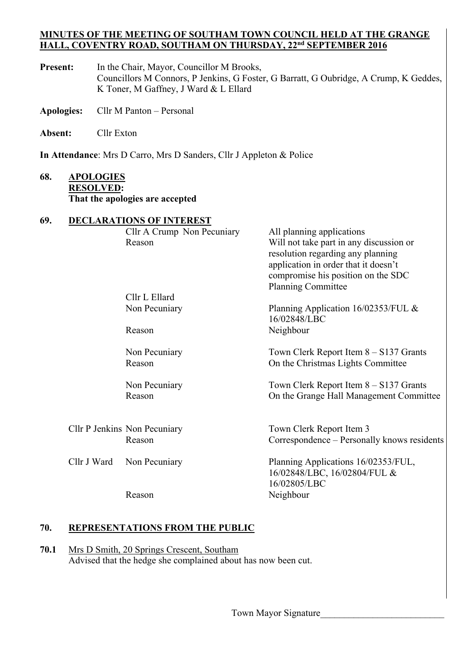#### **MINUTES OF THE MEETING OF SOUTHAM TOWN COUNCIL HELD AT THE GRANGE HALL, COVENTRY ROAD, SOUTHAM ON THURSDAY, 22nd SEPTEMBER 2016**

- Present: In the Chair, Mayor, Councillor M Brooks, Councillors M Connors, P Jenkins, G Foster, G Barratt, G Oubridge, A Crump, K Geddes, K Toner, M Gaffney, J Ward & L Ellard
- **Apologies:** Cllr M Panton Personal
- **Absent:** Cllr Exton

**In Attendance**: Mrs D Carro, Mrs D Sanders, Cllr J Appleton & Police

### **68. APOLOGIES RESOLVED: That the apologies are accepted**

### **69. DECLARATIONS OF INTEREST**

|  |             | Cllr A Crump Non Pecuniary<br>Reason   | All planning applications<br>Will not take part in any discussion or<br>resolution regarding any planning<br>application in order that it doesn't<br>compromise his position on the SDC<br>Planning Committee |  |  |
|--|-------------|----------------------------------------|---------------------------------------------------------------------------------------------------------------------------------------------------------------------------------------------------------------|--|--|
|  |             | Cllr L Ellard                          |                                                                                                                                                                                                               |  |  |
|  |             | Non Pecuniary                          | Planning Application 16/02353/FUL &<br>16/02848/LBC                                                                                                                                                           |  |  |
|  |             | Reason                                 | Neighbour                                                                                                                                                                                                     |  |  |
|  |             | Non Pecuniary                          | Town Clerk Report Item $8 - S137$ Grants                                                                                                                                                                      |  |  |
|  |             | Reason                                 | On the Christmas Lights Committee                                                                                                                                                                             |  |  |
|  |             | Non Pecuniary                          | Town Clerk Report Item $8 - S137$ Grants                                                                                                                                                                      |  |  |
|  |             | Reason                                 | On the Grange Hall Management Committee                                                                                                                                                                       |  |  |
|  |             |                                        |                                                                                                                                                                                                               |  |  |
|  |             | Cllr P Jenkins Non Pecuniary<br>Reason | Town Clerk Report Item 3<br>Correspondence – Personally knows residents                                                                                                                                       |  |  |
|  | Cllr J Ward | Non Pecuniary                          | Planning Applications 16/02353/FUL,<br>16/02848/LBC, 16/02804/FUL &<br>16/02805/LBC                                                                                                                           |  |  |
|  |             | Reason                                 | Neighbour                                                                                                                                                                                                     |  |  |
|  |             |                                        |                                                                                                                                                                                                               |  |  |

### **70. REPRESENTATIONS FROM THE PUBLIC**

**70.1** Mrs D Smith, 20 Springs Crescent, Southam Advised that the hedge she complained about has now been cut.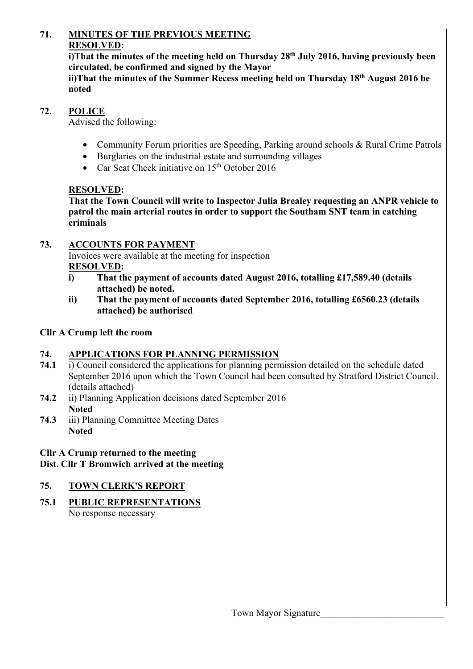# **71. MINUTES OF THE PREVIOUS MEETING RESOLVED:**

**i)That the minutes of the meeting held on Thursday 28th July 2016, having previously been circulated, be confirmed and signed by the Mayor** 

**ii)That the minutes of the Summer Recess meeting held on Thursday 18th August 2016 be noted** 

### **72. POLICE**

Advised the following:

- Community Forum priorities are Speeding, Parking around schools & Rural Crime Patrols
- Burglaries on the industrial estate and surrounding villages
- Car Seat Check initiative on  $15<sup>th</sup>$  October 2016

# **RESOLVED:**

**That the Town Council will write to Inspector Julia Brealey requesting an ANPR vehicle to patrol the main arterial routes in order to support the Southam SNT team in catching criminals** 

# **73. ACCOUNTS FOR PAYMENT**

 Invoices were available at the meeting for inspection **RESOLVED:** 

- **i) That the payment of accounts dated August 2016, totalling £17,589.40 (details attached) be noted.**
- **ii) That the payment of accounts dated September 2016, totalling £6560.23 (details attached) be authorised**

# **Cllr A Crump left the room**

# **74. APPLICATIONS FOR PLANNING PERMISSION**

- **74.1** i) Council considered the applications for planning permission detailed on the schedule dated September 2016 upon which the Town Council had been consulted by Stratford District Council. (details attached)
- **74.2** ii) Planning Application decisions dated September 2016 **Noted**
- **74.3** iii) Planning Committee Meeting Dates **Noted**

### **Cllr A Crump returned to the meeting Dist. Cllr T Bromwich arrived at the meeting**

# **75. TOWN CLERK'S REPORT**

# **75.1 PUBLIC REPRESENTATIONS**

No response necessary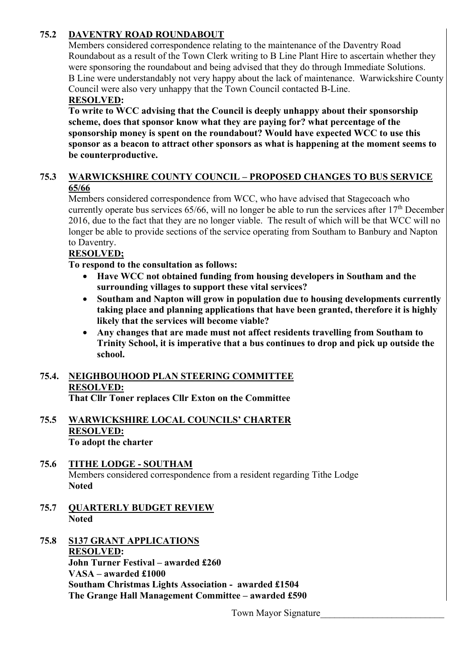# **75.2 DAVENTRY ROAD ROUNDABOUT**

Members considered correspondence relating to the maintenance of the Daventry Road Roundabout as a result of the Town Clerk writing to B Line Plant Hire to ascertain whether they were sponsoring the roundabout and being advised that they do through Immediate Solutions. B Line were understandably not very happy about the lack of maintenance. Warwickshire County Council were also very unhappy that the Town Council contacted B-Line.

# **RESOLVED:**

 **To write to WCC advising that the Council is deeply unhappy about their sponsorship scheme, does that sponsor know what they are paying for? what percentage of the sponsorship money is spent on the roundabout? Would have expected WCC to use this sponsor as a beacon to attract other sponsors as what is happening at the moment seems to be counterproductive.** 

### **75.3 WARWICKSHIRE COUNTY COUNCIL – PROPOSED CHANGES TO BUS SERVICE 65/66**

Members considered correspondence from WCC, who have advised that Stagecoach who currently operate bus services  $65/66$ , will no longer be able to run the services after  $17<sup>th</sup>$  December 2016, due to the fact that they are no longer viable. The result of which will be that WCC will no longer be able to provide sections of the service operating from Southam to Banbury and Napton to Daventry.

# **RESOLVED;**

 **To respond to the consultation as follows:** 

- **Have WCC not obtained funding from housing developers in Southam and the surrounding villages to support these vital services?**
- **Southam and Napton will grow in population due to housing developments currently taking place and planning applications that have been granted, therefore it is highly likely that the services will become viable?**
- **Any changes that are made must not affect residents travelling from Southam to Trinity School, it is imperative that a bus continues to drop and pick up outside the school.**

#### **75.4. NEIGHBOUHOOD PLAN STEERING COMMITTEE RESOLVED: That Cllr Toner replaces Cllr Exton on the Committee**

#### **75.5 WARWICKSHIRE LOCAL COUNCILS' CHARTER RESOLVED: To adopt the charter**

### **75.6 TITHE LODGE - SOUTHAM** Members considered correspondence from a resident regarding Tithe Lodge  **Noted**

- **75.7 QUARTERLY BUDGET REVIEW Noted**
- **75.8 S137 GRANT APPLICATIONS RESOLVED: John Turner Festival – awarded £260 VASA – awarded £1000 Southam Christmas Lights Association - awarded £1504 The Grange Hall Management Committee – awarded £590**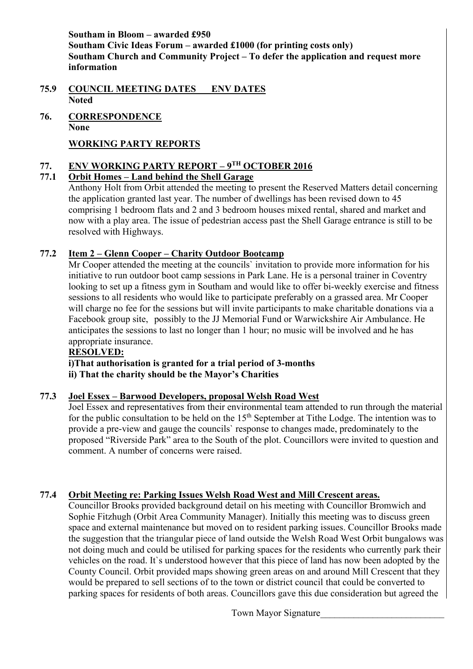**Southam in Bloom – awarded £950 Southam Civic Ideas Forum – awarded £1000 (for printing costs only) Southam Church and Community Project – To defer the application and request more information** 

- **75.9 COUNCIL MEETING DATES ENV DATES Noted**
- **76. CORRESPONDENCE None**

# **WORKING PARTY REPORTS**

# **77. ENV WORKING PARTY REPORT – 9TH OCTOBER 2016**

# **77.1 Orbit Homes – Land behind the Shell Garage**

Anthony Holt from Orbit attended the meeting to present the Reserved Matters detail concerning the application granted last year. The number of dwellings has been revised down to 45 comprising 1 bedroom flats and 2 and 3 bedroom houses mixed rental, shared and market and now with a play area. The issue of pedestrian access past the Shell Garage entrance is still to be resolved with Highways.

# **77.2 Item 2 – Glenn Cooper – Charity Outdoor Bootcamp**

Mr Cooper attended the meeting at the councils` invitation to provide more information for his initiative to run outdoor boot camp sessions in Park Lane. He is a personal trainer in Coventry looking to set up a fitness gym in Southam and would like to offer bi-weekly exercise and fitness sessions to all residents who would like to participate preferably on a grassed area. Mr Cooper will charge no fee for the sessions but will invite participants to make charitable donations via a Facebook group site, possibly to the JJ Memorial Fund or Warwickshire Air Ambulance. He anticipates the sessions to last no longer than 1 hour; no music will be involved and he has appropriate insurance.

### **RESOLVED:**

 **i)That authorisation is granted for a trial period of 3-months ii) That the charity should be the Mayor's Charities** 

# **77.3 Joel Essex – Barwood Developers, proposal Welsh Road West**

Joel Essex and representatives from their environmental team attended to run through the material for the public consultation to be held on the  $15<sup>th</sup>$  September at Tithe Lodge. The intention was to provide a pre-view and gauge the councils` response to changes made, predominately to the proposed "Riverside Park" area to the South of the plot. Councillors were invited to question and comment. A number of concerns were raised.

# **77.4 Orbit Meeting re: Parking Issues Welsh Road West and Mill Crescent areas.**

Councillor Brooks provided background detail on his meeting with Councillor Bromwich and Sophie Fitzhugh (Orbit Area Community Manager). Initially this meeting was to discuss green space and external maintenance but moved on to resident parking issues. Councillor Brooks made the suggestion that the triangular piece of land outside the Welsh Road West Orbit bungalows was not doing much and could be utilised for parking spaces for the residents who currently park their vehicles on the road. It`s understood however that this piece of land has now been adopted by the County Council. Orbit provided maps showing green areas on and around Mill Crescent that they would be prepared to sell sections of to the town or district council that could be converted to parking spaces for residents of both areas. Councillors gave this due consideration but agreed the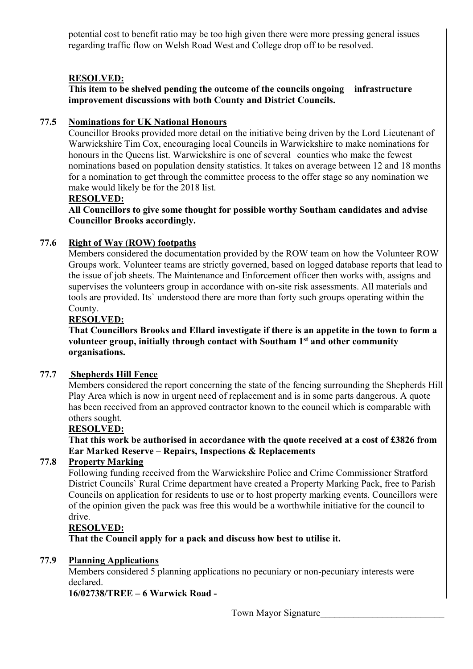potential cost to benefit ratio may be too high given there were more pressing general issues regarding traffic flow on Welsh Road West and College drop off to be resolved.

### **RESOLVED:**

 **This item to be shelved pending the outcome of the councils ongoing infrastructure improvement discussions with both County and District Councils.**

### **77.5 Nominations for UK National Honours**

Councillor Brooks provided more detail on the initiative being driven by the Lord Lieutenant of Warwickshire Tim Cox, encouraging local Councils in Warwickshire to make nominations for honours in the Queens list. Warwickshire is one of several counties who make the fewest nominations based on population density statistics. It takes on average between 12 and 18 months for a nomination to get through the committee process to the offer stage so any nomination we make would likely be for the 2018 list.

### **RESOLVED:**

**All Councillors to give some thought for possible worthy Southam candidates and advise Councillor Brooks accordingly.** 

### **77.6 Right of Way (ROW) footpaths**

Members considered the documentation provided by the ROW team on how the Volunteer ROW Groups work. Volunteer teams are strictly governed, based on logged database reports that lead to the issue of job sheets. The Maintenance and Enforcement officer then works with, assigns and supervises the volunteers group in accordance with on-site risk assessments. All materials and tools are provided. Its` understood there are more than forty such groups operating within the County.

#### **RESOLVED:**

**That Councillors Brooks and Ellard investigate if there is an appetite in the town to form a volunteer group, initially through contact with Southam 1st and other community organisations.** 

### **77.7 Shepherds Hill Fence**

Members considered the report concerning the state of the fencing surrounding the Shepherds Hill Play Area which is now in urgent need of replacement and is in some parts dangerous. A quote has been received from an approved contractor known to the council which is comparable with others sought.

#### **RESOLVED:**

**That this work be authorised in accordance with the quote received at a cost of £3826 from Ear Marked Reserve – Repairs, Inspections & Replacements** 

### **77.8 Property Marking**

Following funding received from the Warwickshire Police and Crime Commissioner Stratford District Councils` Rural Crime department have created a Property Marking Pack, free to Parish Councils on application for residents to use or to host property marking events. Councillors were of the opinion given the pack was free this would be a worthwhile initiative for the council to drive.

#### **RESOLVED:**

 **That the Council apply for a pack and discuss how best to utilise it.** 

### **77.9 Planning Applications**

Members considered 5 planning applications no pecuniary or non-pecuniary interests were declared.

### **16/02738/TREE – 6 Warwick Road -**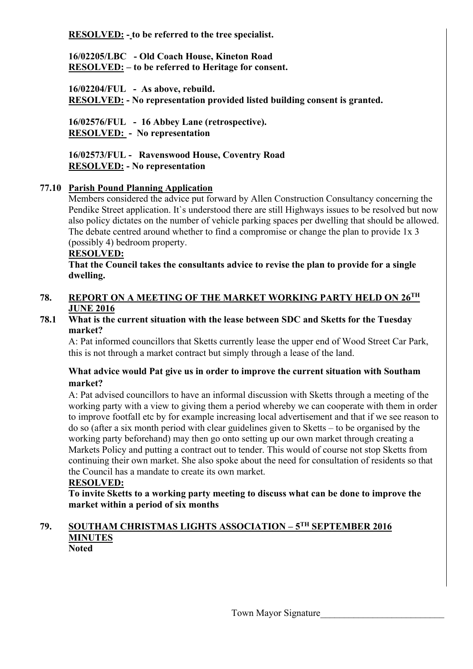**RESOLVED: - to be referred to the tree specialist.** 

 **16/02205/LBC - Old Coach House, Kineton Road RESOLVED: – to be referred to Heritage for consent.** 

 **16/02204/FUL - As above, rebuild. RESOLVED: - No representation provided listed building consent is granted.** 

 **16/02576/FUL - 16 Abbey Lane (retrospective). RESOLVED: - No representation** 

 **16/02573/FUL - Ravenswood House, Coventry Road RESOLVED: - No representation** 

# **77.10 Parish Pound Planning Application**

Members considered the advice put forward by Allen Construction Consultancy concerning the Pendike Street application. It's understood there are still Highways issues to be resolved but now also policy dictates on the number of vehicle parking spaces per dwelling that should be allowed. The debate centred around whether to find a compromise or change the plan to provide 1x 3 (possibly 4) bedroom property.

#### **RESOLVED:**

**That the Council takes the consultants advice to revise the plan to provide for a single dwelling.** 

#### **78. REPORT ON A MEETING OF THE MARKET WORKING PARTY HELD ON 26TH JUNE 2016**

#### **78.1 What is the current situation with the lease between SDC and Sketts for the Tuesday market?**

A: Pat informed councillors that Sketts currently lease the upper end of Wood Street Car Park, this is not through a market contract but simply through a lease of the land.

### **What advice would Pat give us in order to improve the current situation with Southam market?**

A: Pat advised councillors to have an informal discussion with Sketts through a meeting of the working party with a view to giving them a period whereby we can cooperate with them in order to improve footfall etc by for example increasing local advertisement and that if we see reason to do so (after a six month period with clear guidelines given to Sketts – to be organised by the working party beforehand) may then go onto setting up our own market through creating a Markets Policy and putting a contract out to tender. This would of course not stop Sketts from continuing their own market. She also spoke about the need for consultation of residents so that the Council has a mandate to create its own market.

### **RESOLVED:**

**To invite Sketts to a working party meeting to discuss what can be done to improve the market within a period of six months** 

# **79. SOUTHAM CHRISTMAS LIGHTS ASSOCIATION – 5TH SEPTEMBER 2016 MINUTES**

 **Noted**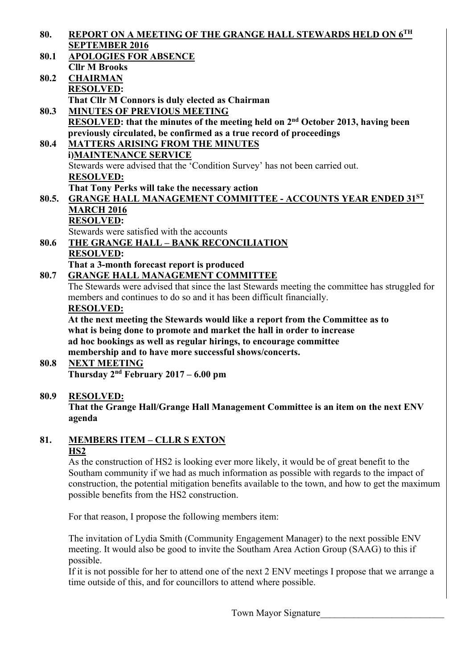- **80. REPORT ON A MEETING OF THE GRANGE HALL STEWARDS HELD ON 6TH SEPTEMBER 2016**
- **80.1 APOLOGIES FOR ABSENCE Cllr M Brooks 80.2 CHAIRMAN RESOLVED: That Cllr M Connors is duly elected as Chairman**
- **80.3 MINUTES OF PREVIOUS MEETING RESOLVED: that the minutes of the meeting held on 2nd October 2013, having been previously circulated, be confirmed as a true record of proceedings**

**80.4 MATTERS ARISING FROM THE MINUTES i)MAINTENANCE SERVICE**  Stewards were advised that the 'Condition Survey' has not been carried out. **RESOLVED: That Tony Perks will take the necessary action 80.5. GRANGE HALL MANAGEMENT COMMITTEE - ACCOUNTS YEAR ENDED 31ST**

- **MARCH 2016 RESOLVED:**  Stewards were satisfied with the accounts
- **80.6 THE GRANGE HALL BANK RECONCILIATION RESOLVED: That a 3-month forecast report is produced**
- **80.7 GRANGE HALL MANAGEMENT COMMITTEE**

 The Stewards were advised that since the last Stewards meeting the committee has struggled for members and continues to do so and it has been difficult financially.

### **RESOLVED:**

**At the next meeting the Stewards would like a report from the Committee as to what is being done to promote and market the hall in order to increase ad hoc bookings as well as regular hirings, to encourage committee membership and to have more successful shows/concerts.** 

**80.8 NEXT MEETING Thursday 2nd February 2017 – 6.00 pm** 

# **80.9 RESOLVED:**

**That the Grange Hall/Grange Hall Management Committee is an item on the next ENV agenda** 

**81. MEMBERS ITEM – CLLR S EXTON HS2** 

> As the construction of HS2 is looking ever more likely, it would be of great benefit to the Southam community if we had as much information as possible with regards to the impact of construction, the potential mitigation benefits available to the town, and how to get the maximum possible benefits from the HS2 construction.

For that reason, I propose the following members item:

 The invitation of Lydia Smith (Community Engagement Manager) to the next possible ENV meeting. It would also be good to invite the Southam Area Action Group (SAAG) to this if possible.

 If it is not possible for her to attend one of the next 2 ENV meetings I propose that we arrange a time outside of this, and for councillors to attend where possible.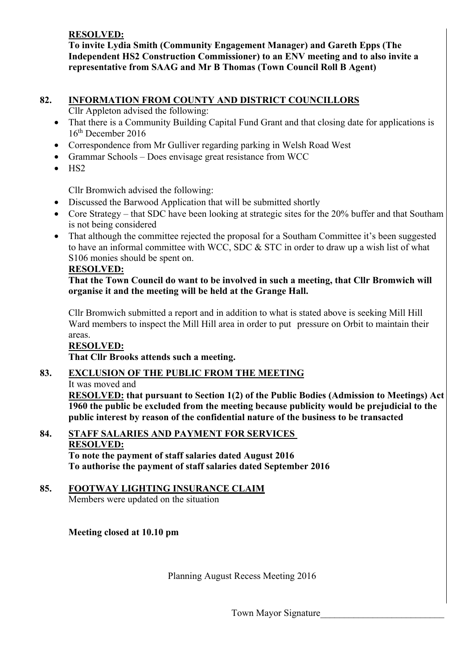### **RESOLVED:**

 **To invite Lydia Smith (Community Engagement Manager) and Gareth Epps (The Independent HS2 Construction Commissioner) to an ENV meeting and to also invite a representative from SAAG and Mr B Thomas (Town Council Roll B Agent)** 

### **82. INFORMATION FROM COUNTY AND DISTRICT COUNCILLORS**

Cllr Appleton advised the following:

- That there is a Community Building Capital Fund Grant and that closing date for applications is 16th December 2016
- Correspondence from Mr Gulliver regarding parking in Welsh Road West
- Grammar Schools Does envisage great resistance from WCC
- HS2

Cllr Bromwich advised the following:

- Discussed the Barwood Application that will be submitted shortly
- Core Strategy that SDC have been looking at strategic sites for the 20% buffer and that Southam is not being considered
- That although the committee rejected the proposal for a Southam Committee it's been suggested to have an informal committee with WCC, SDC & STC in order to draw up a wish list of what S106 monies should be spent on.

### **RESOLVED:**

### **That the Town Council do want to be involved in such a meeting, that Cllr Bromwich will organise it and the meeting will be held at the Grange Hall.**

Cllr Bromwich submitted a report and in addition to what is stated above is seeking Mill Hill Ward members to inspect the Mill Hill area in order to put pressure on Orbit to maintain their areas.

#### **RESOLVED: That Cllr Brooks attends such a meeting.**

# **83. EXCLUSION OF THE PUBLIC FROM THE MEETING**

It was moved and

**RESOLVED: that pursuant to Section 1(2) of the Public Bodies (Admission to Meetings) Act 1960 the public be excluded from the meeting because publicity would be prejudicial to the public interest by reason of the confidential nature of the business to be transacted** 

#### **84. STAFF SALARIES AND PAYMENT FOR SERVICES RESOLVED: To note the payment of staff salaries dated August 2016 To authorise the payment of staff salaries dated September 2016**

# **85. FOOTWAY LIGHTING INSURANCE CLAIM**

Members were updated on the situation

### **Meeting closed at 10.10 pm**

Planning August Recess Meeting 2016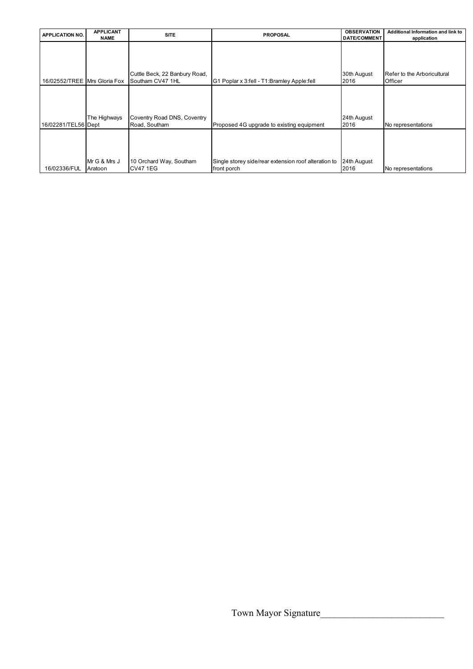| <b>APPLICATION NO.</b>       | <b>APPLICANT</b> | <b>SITE</b>                   | <b>PROPOSAL</b>                                      | <b>OBSERVATION</b>  | Additional Information and link to |
|------------------------------|------------------|-------------------------------|------------------------------------------------------|---------------------|------------------------------------|
|                              | <b>NAME</b>      |                               |                                                      | <b>DATE/COMMENT</b> | application                        |
|                              |                  |                               |                                                      |                     |                                    |
|                              |                  |                               |                                                      |                     |                                    |
|                              |                  |                               |                                                      |                     |                                    |
|                              |                  |                               |                                                      |                     |                                    |
|                              |                  | Cuttle Beck, 22 Banbury Road, |                                                      | 30th August         | Refer to the Arboricultural        |
| 16/02552/TREE Mrs Gloria Fox |                  | Southam CV47 1HL              | G1 Poplar x 3:fell - T1:Bramley Apple:fell           | 2016                | Officer                            |
|                              |                  |                               |                                                      |                     |                                    |
|                              |                  |                               |                                                      |                     |                                    |
|                              |                  |                               |                                                      |                     |                                    |
|                              |                  |                               |                                                      |                     |                                    |
|                              | The Highways     | Coventry Road DNS, Coventry   |                                                      | 24th August         |                                    |
| 16/02281/TEL56 Dept          |                  | Road, Southam                 | Proposed 4G upgrade to existing equipment            | 2016                | No representations                 |
|                              |                  |                               |                                                      |                     |                                    |
|                              |                  |                               |                                                      |                     |                                    |
|                              |                  |                               |                                                      |                     |                                    |
|                              |                  |                               |                                                      |                     |                                    |
|                              |                  |                               |                                                      |                     |                                    |
|                              | Mr G & Mrs J     | 10 Orchard Way, Southam       | Single storey side/rear extension roof alteration to | 24th August         |                                    |
| 16/02336/FUL                 | Aratoon          | CV47 1EG                      | front porch                                          | 2016                | No representations                 |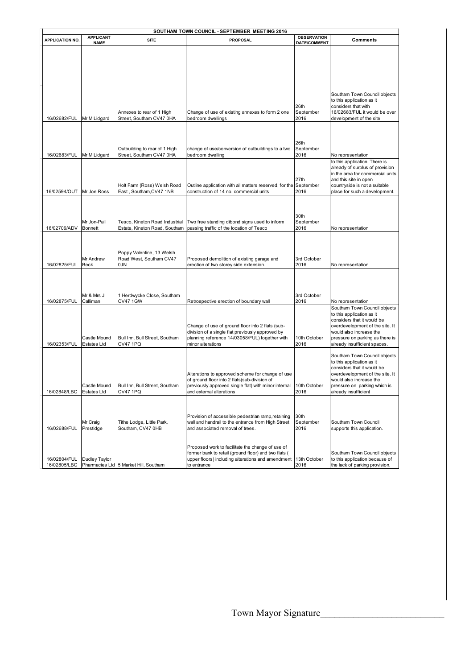| SOUTHAM TOWN COUNCIL - SEPTEMBER MEETING 2016 |                                    |                                                                 |                                                                                                                                                                                      |                           |                                                                                                                                                                                                                          |  |  |
|-----------------------------------------------|------------------------------------|-----------------------------------------------------------------|--------------------------------------------------------------------------------------------------------------------------------------------------------------------------------------|---------------------------|--------------------------------------------------------------------------------------------------------------------------------------------------------------------------------------------------------------------------|--|--|
| <b>APPLICATION NO.</b>                        | <b>APPLICANT</b>                   | <b>SITE</b>                                                     | <b>PROPOSAL</b>                                                                                                                                                                      | <b>OBSERVATION</b>        | Comments                                                                                                                                                                                                                 |  |  |
|                                               | <b>NAME</b>                        |                                                                 |                                                                                                                                                                                      | DATE/COMMENT              |                                                                                                                                                                                                                          |  |  |
| 16/02682/FUL                                  | Mr M Lidgard                       | Annexes to rear of 1 High<br>Street, Southam CV47 0HA           | Change of use of existing annexes to form 2 one<br>bedroom dwellings                                                                                                                 | 26th<br>September<br>2016 | Southam Town Council objects<br>to this application as it<br>considers that with<br>16/02683/FUL it would be over<br>development of the site                                                                             |  |  |
| 16/02683/FUL                                  | Mr M Lidgard                       | Outbuilding to rear of 1 High<br>Street, Southam CV47 0HA       | change of use/conversion of outbuildings to a two<br>bedroom dwelling                                                                                                                | 26th<br>September<br>2016 | No representation                                                                                                                                                                                                        |  |  |
| 16/02594/OUT                                  | Mr Joe Ross                        | Holt Farm (Ross) Welsh Road<br>East, Southam, CV47 1NB          | Outline application with all matters reserved, for the September<br>construction of 14 no. commercial units                                                                          | 27th<br>2016              | to this application. There is<br>already of surplus of provision<br>in the area for commercial units<br>and this site in open<br>countryside is not a suitable<br>place for such a development.                          |  |  |
| 16/02709/ADV                                  | Mr Jon-Pall<br><b>Bonnett</b>      | Tesco, Kineton Road Industrial<br>Estate. Kineton Road. Southam | Two free standing dibond signs used to inform<br>passing traffic of the location of Tesco                                                                                            | 30th<br>September<br>2016 | No representation                                                                                                                                                                                                        |  |  |
| 16/02825/FUL                                  | Mr Andrew<br>Beck                  | Poppy Valentine, 13 Welsh<br>Road West, Southam CV47<br>0JN     | Proposed demolition of existing garage and<br>erection of two storey side extension.                                                                                                 | 3rd October<br>2016       | No representation                                                                                                                                                                                                        |  |  |
| 16/02875/FUL                                  | Mr & Mrs J<br>Calliman             | 1 Herdwycke Close, Southam<br><b>CV47 1GW</b>                   | Retrospective erection of boundary wall                                                                                                                                              | 3rd October<br>2016       | No representation                                                                                                                                                                                                        |  |  |
| 16/02353/FUL                                  | Castle Mound<br>Estates Ltd        | Bull Inn, Bull Street, Southam<br><b>CV47 1PQ</b>               | Change of use of ground floor into 2 flats (sub-<br>division of a single flat previously approved by<br>planning reference 14/03058/FUL) together with<br>minor alterations          | 10th October<br>2016      | Southam Town Council objects<br>to this application as it<br>considers that it would be<br>overdevelopment of the site. It<br>would also increase the<br>pressure on parking as there is<br>already insufficient spaces. |  |  |
| 16/02848/LBC                                  | ⊖astle Mound<br><b>Estates Ltd</b> | Bull Inn, Bull Street, Southam<br><b>CV47 1PQ</b>               | Alterations to approved scheme for change of use<br>of ground floor into 2 flats(sub-division of<br>previously approved single flat) with minor internal<br>and external alterations | 10th October<br>2016      | Southam Town Council objects<br>to this application as it<br>considers that it would be<br>overdevelopment of the site. It<br>would also increase the<br>pressure on parking which is<br>already insufficient            |  |  |
| 16/02688/FUL                                  | Mr Craig<br>Prestidge              | Tithe Lodge, Little Park,<br>Southam, CV47 0HB                  | Provision of accessible pedestrian ramp, retaining<br>wall and handrail to the entrance from High Street<br>and associated removal of trees.                                         | 30th<br>September<br>2016 | Southam Town Council<br>supports this application.                                                                                                                                                                       |  |  |
| 16/02804/FUL<br>16/02805/LBC                  | Dudley Taylor                      | Pharmacies Ltd 5 Market Hill, Southam                           | Proposed work to facilitate the change of use of<br>former bank to retail (ground floor) and two flats (<br>upper floors) including alterations and amendment<br>to entrance         | 13th October<br>2016      | Southam Town Council objects<br>to this application because of<br>the lack of parking provision.                                                                                                                         |  |  |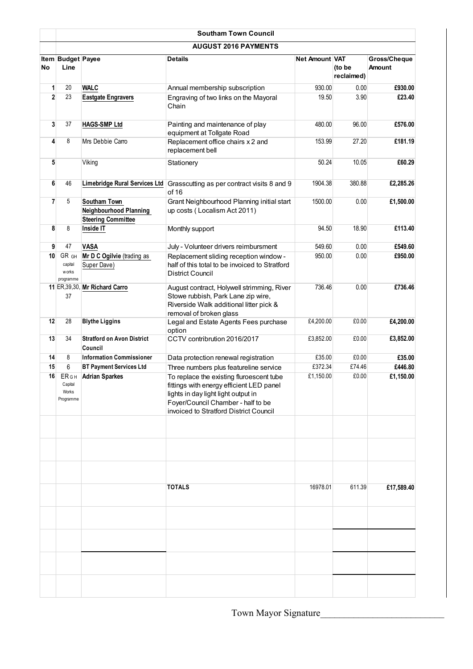|                | <b>Southam Town Council</b>                   |                                                                     |                                                                                                                                                                                                             |                       |                      |                        |  |  |  |
|----------------|-----------------------------------------------|---------------------------------------------------------------------|-------------------------------------------------------------------------------------------------------------------------------------------------------------------------------------------------------------|-----------------------|----------------------|------------------------|--|--|--|
|                | <b>AUGUST 2016 PAYMENTS</b>                   |                                                                     |                                                                                                                                                                                                             |                       |                      |                        |  |  |  |
| No             | Item Budget Payee<br>Line                     |                                                                     | <b>Details</b>                                                                                                                                                                                              | <b>Net Amount VAT</b> | (to be<br>reclaimed) | Gross/Cheque<br>Amount |  |  |  |
| 1              | 20                                            | <b>WALC</b>                                                         | Annual membership subscription                                                                                                                                                                              | 930.00                | 0.00                 | £930.00                |  |  |  |
| $\overline{2}$ | 23                                            | <b>Eastgate Engravers</b>                                           | Engraving of two links on the Mayoral<br>Chain                                                                                                                                                              | 19.50                 | 3.90                 | £23.40                 |  |  |  |
| 3              | 37                                            | <b>HAGS-SMP Ltd</b>                                                 | Painting and maintenance of play<br>equipment at Tollgate Road                                                                                                                                              | 480.00                | 96.00                | £576.00                |  |  |  |
| 4              | 8                                             | Mrs Debbie Carro                                                    | Replacement office chairs x 2 and<br>replacement bell                                                                                                                                                       | 153.99                | 27.20                | £181.19                |  |  |  |
| 5              |                                               | Viking                                                              | Stationery                                                                                                                                                                                                  | 50.24                 | 10.05                | £60.29                 |  |  |  |
| 6              | 46                                            | Limebridge Rural Services Ltd                                       | Grasscutting as per contract visits 8 and 9<br>of 16                                                                                                                                                        | 1904.38               | 380.88               | £2,285.26              |  |  |  |
| $\overline{7}$ | 5                                             | Southam Town<br>Neighbourhood Planning<br><b>Steering Committee</b> | Grant Neighbourhood Planning initial start<br>up costs (Localism Act 2011)                                                                                                                                  | 1500.00               | 0.00                 | £1,500.00              |  |  |  |
| 8              | 8                                             | Inside IT                                                           | Monthly support                                                                                                                                                                                             | 94.50                 | 18.90                | £113.40                |  |  |  |
| 9              | 47                                            | <b>VASA</b>                                                         | July - Volunteer drivers reimbursment                                                                                                                                                                       | 549.60                | 0.00                 | £549.60                |  |  |  |
| 10             | GR GH<br>capital<br>works<br>programme        | Mr D C Ogilvie (trading as<br>Super Dave)                           | Replacement sliding reception window -<br>half of this total to be invoiced to Stratford<br><b>District Council</b>                                                                                         | 950.00                | 0.00                 | £950.00                |  |  |  |
|                | 37                                            | 11 ER, 39, 30, Mr Richard Carro                                     | August contract, Holywell strimming, River<br>Stowe rubbish, Park Lane zip wire,<br>Riverside Walk additional litter pick &<br>removal of broken glass                                                      | 736.46                | 0.00                 | £736.46                |  |  |  |
| 12             | 28                                            | <b>Blythe Liggins</b>                                               | Legal and Estate Agents Fees purchase<br>option                                                                                                                                                             | £4,200.00             | £0.00                | £4,200.00              |  |  |  |
| 13             | 34                                            | <b>Stratford on Avon District</b><br>Council                        | CCTV contribrution 2016/2017                                                                                                                                                                                | £3,852.00             | £0.00                | £3,852.00              |  |  |  |
| 14             | 8                                             | <b>Information Commissioner</b>                                     | Data protection renewal registration                                                                                                                                                                        | £35.00                | £0.00                | £35.00                 |  |  |  |
| 15             | 6                                             | <b>BT Payment Services Ltd</b>                                      | Three numbers plus featureline service                                                                                                                                                                      | £372.34               | £74.46               | £446.80                |  |  |  |
| 16             | <b>ER</b> GH<br>Capital<br>Works<br>Programme | <b>Adrian Sparkes</b>                                               | To replace the existing fluroescent tube<br>fittings with energy efficient LED panel<br>lights in day light light output in<br>Foyer/Council Chamber - half to be<br>invoiced to Stratford District Council | £1,150.00             | £0.00                | £1,150.00              |  |  |  |
|                |                                               |                                                                     |                                                                                                                                                                                                             |                       |                      |                        |  |  |  |
|                |                                               |                                                                     | <b>TOTALS</b>                                                                                                                                                                                               | 16978.01              | 611.39               | £17,589.40             |  |  |  |
|                |                                               |                                                                     |                                                                                                                                                                                                             |                       |                      |                        |  |  |  |